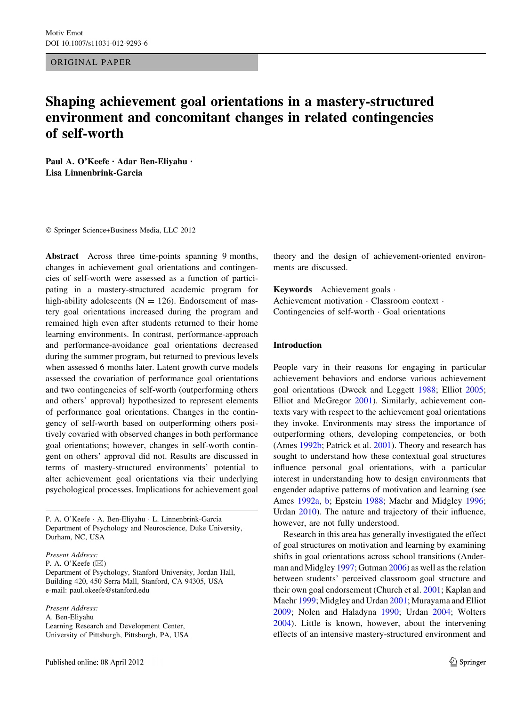ORIGINAL PAPER

# Shaping achievement goal orientations in a mastery-structured environment and concomitant changes in related contingencies of self-worth

Paul A. O'Keefe • Adar Ben-Eliyahu • Lisa Linnenbrink-Garcia

- Springer Science+Business Media, LLC 2012

Abstract Across three time-points spanning 9 months, changes in achievement goal orientations and contingencies of self-worth were assessed as a function of participating in a mastery-structured academic program for high-ability adolescents ( $N = 126$ ). Endorsement of mastery goal orientations increased during the program and remained high even after students returned to their home learning environments. In contrast, performance-approach and performance-avoidance goal orientations decreased during the summer program, but returned to previous levels when assessed 6 months later. Latent growth curve models assessed the covariation of performance goal orientations and two contingencies of self-worth (outperforming others and others' approval) hypothesized to represent elements of performance goal orientations. Changes in the contingency of self-worth based on outperforming others positively covaried with observed changes in both performance goal orientations; however, changes in self-worth contingent on others' approval did not. Results are discussed in terms of mastery-structured environments' potential to alter achievement goal orientations via their underlying psychological processes. Implications for achievement goal

P. A. O'Keefe - A. Ben-Eliyahu - L. Linnenbrink-Garcia Department of Psychology and Neuroscience, Duke University, Durham, NC, USA

Present Address:

P. A. O'Keefe (⊠)

Department of Psychology, Stanford University, Jordan Hall, Building 420, 450 Serra Mall, Stanford, CA 94305, USA e-mail: paul.okeefe@stanford.edu

Present Address: A. Ben-Eliyahu Learning Research and Development Center, University of Pittsburgh, Pittsburgh, PA, USA theory and the design of achievement-oriented environments are discussed.

Keywords Achievement goals . Achievement motivation · Classroom context · Contingencies of self-worth - Goal orientations

# Introduction

People vary in their reasons for engaging in particular achievement behaviors and endorse various achievement goal orientations (Dweck and Leggett [1988](#page-12-0); Elliot [2005](#page-12-0); Elliot and McGregor [2001](#page-12-0)). Similarly, achievement contexts vary with respect to the achievement goal orientations they invoke. Environments may stress the importance of outperforming others, developing competencies, or both (Ames [1992b](#page-12-0); Patrick et al. [2001](#page-13-0)). Theory and research has sought to understand how these contextual goal structures influence personal goal orientations, with a particular interest in understanding how to design environments that engender adaptive patterns of motivation and learning (see Ames [1992a,](#page-12-0) [b;](#page-12-0) Epstein [1988](#page-12-0); Maehr and Midgley [1996](#page-13-0); Urdan [2010\)](#page-14-0). The nature and trajectory of their influence, however, are not fully understood.

Research in this area has generally investigated the effect of goal structures on motivation and learning by examining shifts in goal orientations across school transitions (Anderman and Midgley [1997;](#page-12-0) Gutman [2006](#page-13-0)) as well as the relation between students' perceived classroom goal structure and their own goal endorsement (Church et al. [2001](#page-12-0); Kaplan and Maehr [1999;](#page-13-0) Midgley and Urdan [2001](#page-13-0); Murayama and Elliot [2009](#page-13-0); Nolen and Haladyna [1990;](#page-13-0) Urdan [2004;](#page-14-0) Wolters [2004](#page-14-0)). Little is known, however, about the intervening effects of an intensive mastery-structured environment and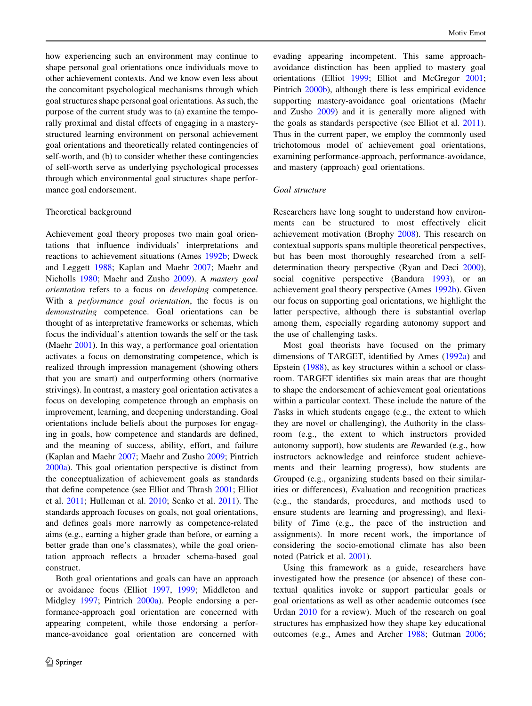how experiencing such an environment may continue to shape personal goal orientations once individuals move to other achievement contexts. And we know even less about the concomitant psychological mechanisms through which goal structures shape personal goal orientations. As such, the purpose of the current study was to (a) examine the temporally proximal and distal effects of engaging in a masterystructured learning environment on personal achievement goal orientations and theoretically related contingencies of self-worth, and (b) to consider whether these contingencies of self-worth serve as underlying psychological processes through which environmental goal structures shape performance goal endorsement.

## Theoretical background

Achievement goal theory proposes two main goal orientations that influence individuals' interpretations and reactions to achievement situations (Ames [1992b](#page-12-0); Dweck and Leggett [1988](#page-12-0); Kaplan and Maehr [2007](#page-13-0); Maehr and Nicholls [1980](#page-13-0); Maehr and Zusho [2009](#page-13-0)). A mastery goal orientation refers to a focus on developing competence. With a *performance goal orientation*, the focus is on demonstrating competence. Goal orientations can be thought of as interpretative frameworks or schemas, which focus the individual's attention towards the self or the task (Maehr [2001\)](#page-13-0). In this way, a performance goal orientation activates a focus on demonstrating competence, which is realized through impression management (showing others that you are smart) and outperforming others (normative strivings). In contrast, a mastery goal orientation activates a focus on developing competence through an emphasis on improvement, learning, and deepening understanding. Goal orientations include beliefs about the purposes for engaging in goals, how competence and standards are defined, and the meaning of success, ability, effort, and failure (Kaplan and Maehr [2007](#page-13-0); Maehr and Zusho [2009;](#page-13-0) Pintrich [2000a](#page-13-0)). This goal orientation perspective is distinct from the conceptualization of achievement goals as standards that define competence (see Elliot and Thrash [2001;](#page-12-0) Elliot et al. [2011;](#page-12-0) Hulleman et al. [2010;](#page-13-0) Senko et al. [2011](#page-14-0)). The standards approach focuses on goals, not goal orientations, and defines goals more narrowly as competence-related aims (e.g., earning a higher grade than before, or earning a better grade than one's classmates), while the goal orientation approach reflects a broader schema-based goal construct.

Both goal orientations and goals can have an approach or avoidance focus (Elliot [1997](#page-12-0), [1999;](#page-12-0) Middleton and Midgley [1997](#page-13-0); Pintrich [2000a\)](#page-13-0). People endorsing a performance-approach goal orientation are concerned with appearing competent, while those endorsing a performance-avoidance goal orientation are concerned with evading appearing incompetent. This same approachavoidance distinction has been applied to mastery goal orientations (Elliot [1999;](#page-12-0) Elliot and McGregor [2001](#page-12-0); Pintrich [2000b](#page-13-0)), although there is less empirical evidence supporting mastery-avoidance goal orientations (Maehr and Zusho [2009](#page-13-0)) and it is generally more aligned with the goals as standards perspective (see Elliot et al. [2011](#page-12-0)). Thus in the current paper, we employ the commonly used trichotomous model of achievement goal orientations, examining performance-approach, performance-avoidance, and mastery (approach) goal orientations.

# Goal structure

Researchers have long sought to understand how environments can be structured to most effectively elicit achievement motivation (Brophy [2008](#page-12-0)). This research on contextual supports spans multiple theoretical perspectives, but has been most thoroughly researched from a selfdetermination theory perspective (Ryan and Deci [2000](#page-13-0)), social cognitive perspective (Bandura [1993\)](#page-12-0), or an achievement goal theory perspective (Ames [1992b](#page-12-0)). Given our focus on supporting goal orientations, we highlight the latter perspective, although there is substantial overlap among them, especially regarding autonomy support and the use of challenging tasks.

Most goal theorists have focused on the primary dimensions of TARGET, identified by Ames [\(1992a\)](#page-12-0) and Epstein ([1988\)](#page-12-0), as key structures within a school or classroom. TARGET identifies six main areas that are thought to shape the endorsement of achievement goal orientations within a particular context. These include the nature of the Tasks in which students engage (e.g., the extent to which they are novel or challenging), the Authority in the classroom (e.g., the extent to which instructors provided autonomy support), how students are Rewarded (e.g., how instructors acknowledge and reinforce student achievements and their learning progress), how students are Grouped (e.g., organizing students based on their similarities or differences), Evaluation and recognition practices (e.g., the standards, procedures, and methods used to ensure students are learning and progressing), and flexibility of Time (e.g., the pace of the instruction and assignments). In more recent work, the importance of considering the socio-emotional climate has also been noted (Patrick et al. [2001](#page-13-0)).

Using this framework as a guide, researchers have investigated how the presence (or absence) of these contextual qualities invoke or support particular goals or goal orientations as well as other academic outcomes (see Urdan [2010](#page-14-0) for a review). Much of the research on goal structures has emphasized how they shape key educational outcomes (e.g., Ames and Archer [1988](#page-12-0); Gutman [2006](#page-13-0);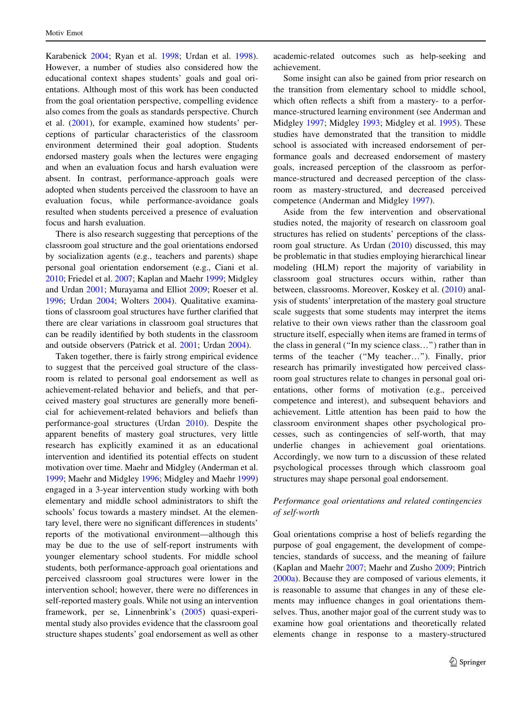Karabenick [2004;](#page-13-0) Ryan et al. [1998;](#page-13-0) Urdan et al. [1998](#page-14-0)). However, a number of studies also considered how the educational context shapes students' goals and goal orientations. Although most of this work has been conducted from the goal orientation perspective, compelling evidence also comes from the goals as standards perspective. Church et al. [\(2001](#page-12-0)), for example, examined how students' perceptions of particular characteristics of the classroom environment determined their goal adoption. Students endorsed mastery goals when the lectures were engaging and when an evaluation focus and harsh evaluation were absent. In contrast, performance-approach goals were adopted when students perceived the classroom to have an evaluation focus, while performance-avoidance goals resulted when students perceived a presence of evaluation focus and harsh evaluation.

There is also research suggesting that perceptions of the classroom goal structure and the goal orientations endorsed by socialization agents (e.g., teachers and parents) shape personal goal orientation endorsement (e.g., Ciani et al. [2010;](#page-12-0) Friedel et al. [2007;](#page-12-0) Kaplan and Maehr [1999](#page-13-0); Midgley and Urdan [2001;](#page-13-0) Murayama and Elliot [2009](#page-13-0); Roeser et al. [1996;](#page-13-0) Urdan [2004](#page-14-0); Wolters [2004\)](#page-14-0). Qualitative examinations of classroom goal structures have further clarified that there are clear variations in classroom goal structures that can be readily identified by both students in the classroom and outside observers (Patrick et al. [2001](#page-13-0); Urdan [2004\)](#page-14-0).

Taken together, there is fairly strong empirical evidence to suggest that the perceived goal structure of the classroom is related to personal goal endorsement as well as achievement-related behavior and beliefs, and that perceived mastery goal structures are generally more beneficial for achievement-related behaviors and beliefs than performance-goal structures (Urdan [2010](#page-14-0)). Despite the apparent benefits of mastery goal structures, very little research has explicitly examined it as an educational intervention and identified its potential effects on student motivation over time. Maehr and Midgley (Anderman et al. [1999;](#page-12-0) Maehr and Midgley [1996](#page-13-0); Midgley and Maehr [1999\)](#page-13-0) engaged in a 3-year intervention study working with both elementary and middle school administrators to shift the schools' focus towards a mastery mindset. At the elementary level, there were no significant differences in students' reports of the motivational environment—although this may be due to the use of self-report instruments with younger elementary school students. For middle school students, both performance-approach goal orientations and perceived classroom goal structures were lower in the intervention school; however, there were no differences in self-reported mastery goals. While not using an intervention framework, per se, Linnenbrink's ([2005\)](#page-13-0) quasi-experimental study also provides evidence that the classroom goal structure shapes students' goal endorsement as well as other

academic-related outcomes such as help-seeking and achievement.

Some insight can also be gained from prior research on the transition from elementary school to middle school, which often reflects a shift from a mastery- to a performance-structured learning environment (see Anderman and Midgley [1997](#page-12-0); Midgley [1993;](#page-13-0) Midgley et al. [1995](#page-13-0)). These studies have demonstrated that the transition to middle school is associated with increased endorsement of performance goals and decreased endorsement of mastery goals, increased perception of the classroom as performance-structured and decreased perception of the classroom as mastery-structured, and decreased perceived competence (Anderman and Midgley [1997](#page-12-0)).

Aside from the few intervention and observational studies noted, the majority of research on classroom goal structures has relied on students' perceptions of the classroom goal structure. As Urdan [\(2010](#page-14-0)) discussed, this may be problematic in that studies employing hierarchical linear modeling (HLM) report the majority of variability in classroom goal structures occurs within, rather than between, classrooms. Moreover, Koskey et al. [\(2010](#page-13-0)) analysis of students' interpretation of the mastery goal structure scale suggests that some students may interpret the items relative to their own views rather than the classroom goal structure itself, especially when items are framed in terms of the class in general (''In my science class…'') rather than in terms of the teacher (''My teacher…''). Finally, prior research has primarily investigated how perceived classroom goal structures relate to changes in personal goal orientations, other forms of motivation (e.g., perceived competence and interest), and subsequent behaviors and achievement. Little attention has been paid to how the classroom environment shapes other psychological processes, such as contingencies of self-worth, that may underlie changes in achievement goal orientations. Accordingly, we now turn to a discussion of these related psychological processes through which classroom goal structures may shape personal goal endorsement.

# Performance goal orientations and related contingencies of self-worth

Goal orientations comprise a host of beliefs regarding the purpose of goal engagement, the development of competencies, standards of success, and the meaning of failure (Kaplan and Maehr [2007](#page-13-0); Maehr and Zusho [2009;](#page-13-0) Pintrich [2000a\)](#page-13-0). Because they are composed of various elements, it is reasonable to assume that changes in any of these elements may influence changes in goal orientations themselves. Thus, another major goal of the current study was to examine how goal orientations and theoretically related elements change in response to a mastery-structured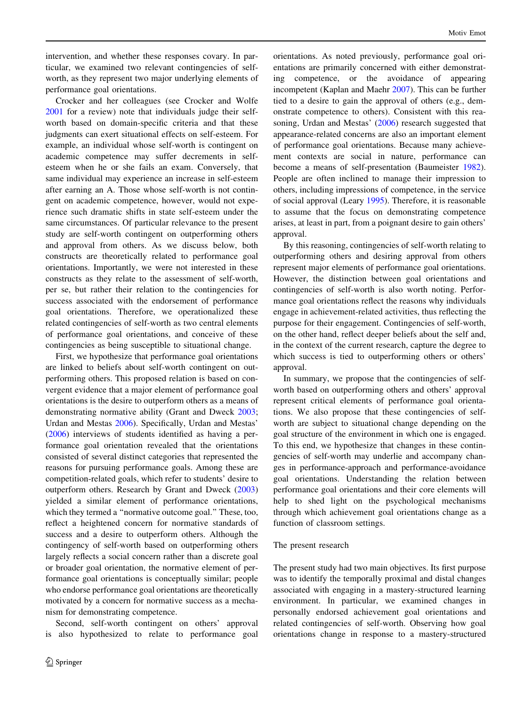intervention, and whether these responses covary. In particular, we examined two relevant contingencies of selfworth, as they represent two major underlying elements of performance goal orientations.

Crocker and her colleagues (see Crocker and Wolfe [2001](#page-12-0) for a review) note that individuals judge their selfworth based on domain-specific criteria and that these judgments can exert situational effects on self-esteem. For example, an individual whose self-worth is contingent on academic competence may suffer decrements in selfesteem when he or she fails an exam. Conversely, that same individual may experience an increase in self-esteem after earning an A. Those whose self-worth is not contingent on academic competence, however, would not experience such dramatic shifts in state self-esteem under the same circumstances. Of particular relevance to the present study are self-worth contingent on outperforming others and approval from others. As we discuss below, both constructs are theoretically related to performance goal orientations. Importantly, we were not interested in these constructs as they relate to the assessment of self-worth, per se, but rather their relation to the contingencies for success associated with the endorsement of performance goal orientations. Therefore, we operationalized these related contingencies of self-worth as two central elements of performance goal orientations, and conceive of these contingencies as being susceptible to situational change.

First, we hypothesize that performance goal orientations are linked to beliefs about self-worth contingent on outperforming others. This proposed relation is based on convergent evidence that a major element of performance goal orientations is the desire to outperform others as a means of demonstrating normative ability (Grant and Dweck [2003](#page-13-0); Urdan and Mestas [2006\)](#page-14-0). Specifically, Urdan and Mestas' [\(2006](#page-14-0)) interviews of students identified as having a performance goal orientation revealed that the orientations consisted of several distinct categories that represented the reasons for pursuing performance goals. Among these are competition-related goals, which refer to students' desire to outperform others. Research by Grant and Dweck ([2003\)](#page-13-0) yielded a similar element of performance orientations, which they termed a "normative outcome goal." These, too, reflect a heightened concern for normative standards of success and a desire to outperform others. Although the contingency of self-worth based on outperforming others largely reflects a social concern rather than a discrete goal or broader goal orientation, the normative element of performance goal orientations is conceptually similar; people who endorse performance goal orientations are theoretically motivated by a concern for normative success as a mechanism for demonstrating competence.

Second, self-worth contingent on others' approval is also hypothesized to relate to performance goal orientations. As noted previously, performance goal orientations are primarily concerned with either demonstrating competence, or the avoidance of appearing incompetent (Kaplan and Maehr [2007](#page-13-0)). This can be further tied to a desire to gain the approval of others (e.g., demonstrate competence to others). Consistent with this rea-soning, Urdan and Mestas' [\(2006\)](#page-14-0) research suggested that appearance-related concerns are also an important element of performance goal orientations. Because many achievement contexts are social in nature, performance can become a means of self-presentation (Baumeister [1982](#page-12-0)). People are often inclined to manage their impression to others, including impressions of competence, in the service of social approval (Leary [1995](#page-13-0)). Therefore, it is reasonable to assume that the focus on demonstrating competence arises, at least in part, from a poignant desire to gain others' approval.

By this reasoning, contingencies of self-worth relating to outperforming others and desiring approval from others represent major elements of performance goal orientations. However, the distinction between goal orientations and contingencies of self-worth is also worth noting. Performance goal orientations reflect the reasons why individuals engage in achievement-related activities, thus reflecting the purpose for their engagement. Contingencies of self-worth, on the other hand, reflect deeper beliefs about the self and, in the context of the current research, capture the degree to which success is tied to outperforming others or others' approval.

In summary, we propose that the contingencies of selfworth based on outperforming others and others' approval represent critical elements of performance goal orientations. We also propose that these contingencies of selfworth are subject to situational change depending on the goal structure of the environment in which one is engaged. To this end, we hypothesize that changes in these contingencies of self-worth may underlie and accompany changes in performance-approach and performance-avoidance goal orientations. Understanding the relation between performance goal orientations and their core elements will help to shed light on the psychological mechanisms through which achievement goal orientations change as a function of classroom settings.

# The present research

The present study had two main objectives. Its first purpose was to identify the temporally proximal and distal changes associated with engaging in a mastery-structured learning environment. In particular, we examined changes in personally endorsed achievement goal orientations and related contingencies of self-worth. Observing how goal orientations change in response to a mastery-structured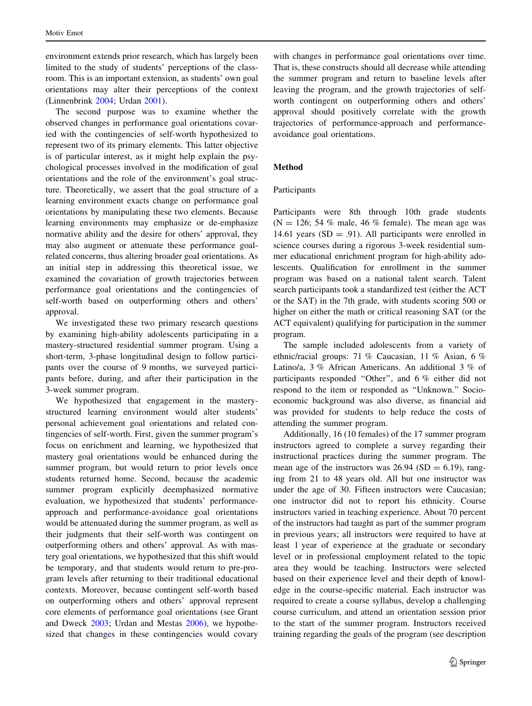environment extends prior research, which has largely been limited to the study of students' perceptions of the classroom. This is an important extension, as students' own goal orientations may alter their perceptions of the context (Linnenbrink [2004](#page-13-0); Urdan [2001](#page-14-0)).

The second purpose was to examine whether the observed changes in performance goal orientations covaried with the contingencies of self-worth hypothesized to represent two of its primary elements. This latter objective is of particular interest, as it might help explain the psychological processes involved in the modification of goal orientations and the role of the environment's goal structure. Theoretically, we assert that the goal structure of a learning environment exacts change on performance goal orientations by manipulating these two elements. Because learning environments may emphasize or de-emphasize normative ability and the desire for others' approval, they may also augment or attenuate these performance goalrelated concerns, thus altering broader goal orientations. As an initial step in addressing this theoretical issue, we examined the covariation of growth trajectories between performance goal orientations and the contingencies of self-worth based on outperforming others and others' approval.

We investigated these two primary research questions by examining high-ability adolescents participating in a mastery-structured residential summer program. Using a short-term, 3-phase longitudinal design to follow participants over the course of 9 months, we surveyed participants before, during, and after their participation in the 3-week summer program.

We hypothesized that engagement in the masterystructured learning environment would alter students' personal achievement goal orientations and related contingencies of self-worth. First, given the summer program's focus on enrichment and learning, we hypothesized that mastery goal orientations would be enhanced during the summer program, but would return to prior levels once students returned home. Second, because the academic summer program explicitly deemphasized normative evaluation, we hypothesized that students' performanceapproach and performance-avoidance goal orientations would be attenuated during the summer program, as well as their judgments that their self-worth was contingent on outperforming others and others' approval. As with mastery goal orientations, we hypothesized that this shift would be temporary, and that students would return to pre-program levels after returning to their traditional educational contexts. Moreover, because contingent self-worth based on outperforming others and others' approval represent core elements of performance goal orientations (see Grant and Dweck [2003;](#page-13-0) Urdan and Mestas [2006](#page-14-0)), we hypothesized that changes in these contingencies would covary

with changes in performance goal orientations over time. That is, these constructs should all decrease while attending the summer program and return to baseline levels after leaving the program, and the growth trajectories of selfworth contingent on outperforming others and others' approval should positively correlate with the growth trajectories of performance-approach and performanceavoidance goal orientations.

# Method

#### Participants

Participants were 8th through 10th grade students  $(N = 126; 54\%$  male, 46 % female). The mean age was 14.61 years  $(SD = .91)$ . All participants were enrolled in science courses during a rigorous 3-week residential summer educational enrichment program for high-ability adolescents. Qualification for enrollment in the summer program was based on a national talent search. Talent search participants took a standardized test (either the ACT or the SAT) in the 7th grade, with students scoring 500 or higher on either the math or critical reasoning SAT (or the ACT equivalent) qualifying for participation in the summer program.

The sample included adolescents from a variety of ethnic/racial groups: 71 % Caucasian, 11 % Asian, 6 % Latino/a, 3 % African Americans. An additional 3 % of participants responded ''Other'', and 6 % either did not respond to the item or responded as ''Unknown.'' Socioeconomic background was also diverse, as financial aid was provided for students to help reduce the costs of attending the summer program.

Additionally, 16 (10 females) of the 17 summer program instructors agreed to complete a survey regarding their instructional practices during the summer program. The mean age of the instructors was  $26.94$  (SD = 6.19), ranging from 21 to 48 years old. All but one instructor was under the age of 30. Fifteen instructors were Caucasian; one instructor did not to report his ethnicity. Course instructors varied in teaching experience. About 70 percent of the instructors had taught as part of the summer program in previous years; all instructors were required to have at least 1 year of experience at the graduate or secondary level or in professional employment related to the topic area they would be teaching. Instructors were selected based on their experience level and their depth of knowledge in the course-specific material. Each instructor was required to create a course syllabus, develop a challenging course curriculum, and attend an orientation session prior to the start of the summer program. Instructors received training regarding the goals of the program (see description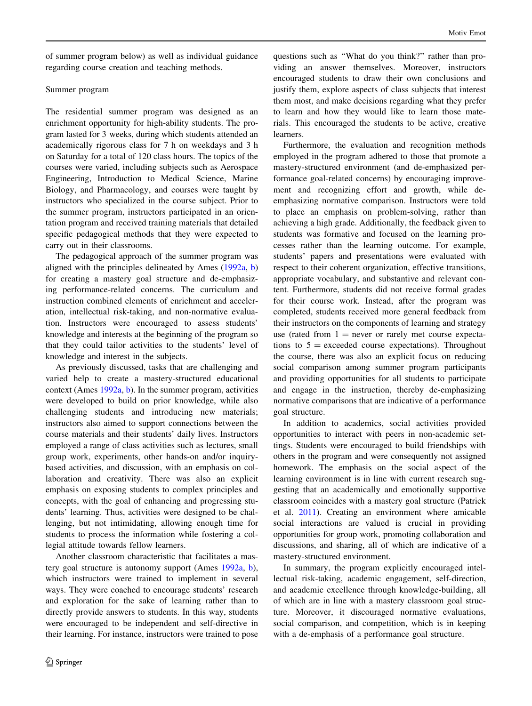of summer program below) as well as individual guidance regarding course creation and teaching methods.

## Summer program

The residential summer program was designed as an enrichment opportunity for high-ability students. The program lasted for 3 weeks, during which students attended an academically rigorous class for 7 h on weekdays and 3 h on Saturday for a total of 120 class hours. The topics of the courses were varied, including subjects such as Aerospace Engineering, Introduction to Medical Science, Marine Biology, and Pharmacology, and courses were taught by instructors who specialized in the course subject. Prior to the summer program, instructors participated in an orientation program and received training materials that detailed specific pedagogical methods that they were expected to carry out in their classrooms.

The pedagogical approach of the summer program was aligned with the principles delineated by Ames ([1992a](#page-12-0), [b\)](#page-12-0) for creating a mastery goal structure and de-emphasizing performance-related concerns. The curriculum and instruction combined elements of enrichment and acceleration, intellectual risk-taking, and non-normative evaluation. Instructors were encouraged to assess students' knowledge and interests at the beginning of the program so that they could tailor activities to the students' level of knowledge and interest in the subjects.

As previously discussed, tasks that are challenging and varied help to create a mastery-structured educational context (Ames [1992a](#page-12-0), [b](#page-12-0)). In the summer program, activities were developed to build on prior knowledge, while also challenging students and introducing new materials; instructors also aimed to support connections between the course materials and their students' daily lives. Instructors employed a range of class activities such as lectures, small group work, experiments, other hands-on and/or inquirybased activities, and discussion, with an emphasis on collaboration and creativity. There was also an explicit emphasis on exposing students to complex principles and concepts, with the goal of enhancing and progressing students' learning. Thus, activities were designed to be challenging, but not intimidating, allowing enough time for students to process the information while fostering a collegial attitude towards fellow learners.

Another classroom characteristic that facilitates a mastery goal structure is autonomy support (Ames [1992a](#page-12-0), [b](#page-12-0)), which instructors were trained to implement in several ways. They were coached to encourage students' research and exploration for the sake of learning rather than to directly provide answers to students. In this way, students were encouraged to be independent and self-directive in their learning. For instance, instructors were trained to pose questions such as ''What do you think?'' rather than providing an answer themselves. Moreover, instructors encouraged students to draw their own conclusions and justify them, explore aspects of class subjects that interest them most, and make decisions regarding what they prefer to learn and how they would like to learn those materials. This encouraged the students to be active, creative learners.

Furthermore, the evaluation and recognition methods employed in the program adhered to those that promote a mastery-structured environment (and de-emphasized performance goal-related concerns) by encouraging improvement and recognizing effort and growth, while deemphasizing normative comparison. Instructors were told to place an emphasis on problem-solving, rather than achieving a high grade. Additionally, the feedback given to students was formative and focused on the learning processes rather than the learning outcome. For example, students' papers and presentations were evaluated with respect to their coherent organization, effective transitions, appropriate vocabulary, and substantive and relevant content. Furthermore, students did not receive formal grades for their course work. Instead, after the program was completed, students received more general feedback from their instructors on the components of learning and strategy use (rated from  $1 =$  never or rarely met course expectations to  $5 =$  exceeded course expectations). Throughout the course, there was also an explicit focus on reducing social comparison among summer program participants and providing opportunities for all students to participate and engage in the instruction, thereby de-emphasizing normative comparisons that are indicative of a performance goal structure.

In addition to academics, social activities provided opportunities to interact with peers in non-academic settings. Students were encouraged to build friendships with others in the program and were consequently not assigned homework. The emphasis on the social aspect of the learning environment is in line with current research suggesting that an academically and emotionally supportive classroom coincides with a mastery goal structure (Patrick et al. [2011\)](#page-13-0). Creating an environment where amicable social interactions are valued is crucial in providing opportunities for group work, promoting collaboration and discussions, and sharing, all of which are indicative of a mastery-structured environment.

In summary, the program explicitly encouraged intellectual risk-taking, academic engagement, self-direction, and academic excellence through knowledge-building, all of which are in line with a mastery classroom goal structure. Moreover, it discouraged normative evaluations, social comparison, and competition, which is in keeping with a de-emphasis of a performance goal structure.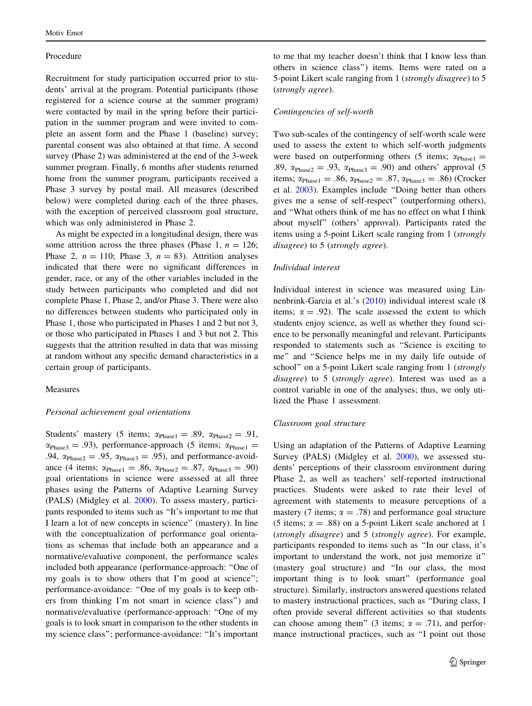#### Procedure

Recruitment for study participation occurred prior to students' arrival at the program. Potential participants (those registered for a science course at the summer program) were contacted by mail in the spring before their participation in the summer program and were invited to complete an assent form and the Phase 1 (baseline) survey; parental consent was also obtained at that time. A second survey (Phase 2) was administered at the end of the 3-week summer program. Finally, 6 months after students returned home from the summer program, participants received a Phase 3 survey by postal mail. All measures (described below) were completed during each of the three phases, with the exception of perceived classroom goal structure, which was only administered in Phase 2.

As might be expected in a longitudinal design, there was some attrition across the three phases (Phase 1,  $n = 126$ ; Phase 2,  $n = 110$ ; Phase 3,  $n = 83$ ). Attrition analyses indicated that there were no significant differences in gender, race, or any of the other variables included in the study between participants who completed and did not complete Phase 1, Phase 2, and/or Phase 3. There were also no differences between students who participated only in Phase 1, those who participated in Phases 1 and 2 but not 3, or those who participated in Phases 1 and 3 but not 2. This suggests that the attrition resulted in data that was missing at random without any specific demand characteristics in a certain group of participants.

#### Measures

#### Personal achievement goal orientations

Students' mastery (5 items;  $\alpha_{Phase1} = .89$ ,  $\alpha_{Phase2} = .91$ ,  $\alpha_{\text{Phase3}} = .93$ ), performance-approach (5 items;  $\alpha_{\text{Phase1}} =$ .94,  $\alpha_{\text{Phase2}} = .95$ ,  $\alpha_{\text{Phase3}} = .95$ ), and performance-avoidance (4 items;  $\alpha_{\text{Phase1}} = .86$ ,  $\alpha_{\text{Phase2}} = .87$ ,  $\alpha_{\text{Phase3}} = .90$ ) goal orientations in science were assessed at all three phases using the Patterns of Adaptive Learning Survey (PALS) (Midgley et al. [2000](#page-13-0)). To assess mastery, participants responded to items such as ''It's important to me that I learn a lot of new concepts in science'' (mastery). In line with the conceptualization of performance goal orientations as schemas that include both an appearance and a normative/evaluative component, the performance scales included both appearance (performance-approach: ''One of my goals is to show others that I'm good at science''; performance-avoidance: ''One of my goals is to keep others from thinking I'm not smart in science class'') and normative/evaluative (performance-approach: ''One of my goals is to look smart in comparison to the other students in my science class''; performance-avoidance: ''It's important to me that my teacher doesn't think that I know less than others in science class'') items. Items were rated on a 5-point Likert scale ranging from 1 (strongly disagree) to 5 (strongly agree).

## Contingencies of self-worth

Two sub-scales of the contingency of self-worth scale were used to assess the extent to which self-worth judgments were based on outperforming others (5 items;  $\alpha_{\text{Phase1}}$  = .89,  $\alpha_{\text{Phase2}} = .93$ ,  $\alpha_{\text{Phase3}} = .90$ ) and others' approval (5) items;  $\alpha_{Phase1} = .86$ ,  $\alpha_{Phase2} = .87$ ,  $\alpha_{Phase3} = .86$ ) (Crocker et al. [2003\)](#page-12-0). Examples include ''Doing better than others gives me a sense of self-respect'' (outperforming others), and ''What others think of me has no effect on what I think about myself'' (others' approval). Participants rated the items using a 5-point Likert scale ranging from 1 (strongly disagree) to 5 (strongly agree).

#### Individual interest

Individual interest in science was measured using Linnenbrink-Garcia et al.'s [\(2010](#page-13-0)) individual interest scale (8 items;  $\alpha = .92$ ). The scale assessed the extent to which students enjoy science, as well as whether they found science to be personally meaningful and relevant. Participants responded to statements such as ''Science is exciting to me'' and ''Science helps me in my daily life outside of school" on a 5-point Likert scale ranging from 1 (*strongly* disagree) to 5 (strongly agree). Interest was used as a control variable in one of the analyses; thus, we only utilized the Phase 1 assessment.

# Classroom goal structure

Using an adaptation of the Patterns of Adaptive Learning Survey (PALS) (Midgley et al. [2000\)](#page-13-0), we assessed students' perceptions of their classroom environment during Phase 2, as well as teachers' self-reported instructional practices. Students were asked to rate their level of agreement with statements to measure perceptions of a mastery (7 items;  $\alpha = .78$ ) and performance goal structure (5 items;  $\alpha = .88$ ) on a 5-point Likert scale anchored at 1 (strongly disagree) and 5 (strongly agree). For example, participants responded to items such as ''In our class, it's important to understand the work, not just memorize it'' (mastery goal structure) and ''In our class, the most important thing is to look smart'' (performance goal structure). Similarly, instructors answered questions related to mastery instructional practices, such as ''During class, I often provide several different activities so that students can choose among them" (3 items;  $\alpha = .71$ ), and performance instructional practices, such as ''I point out those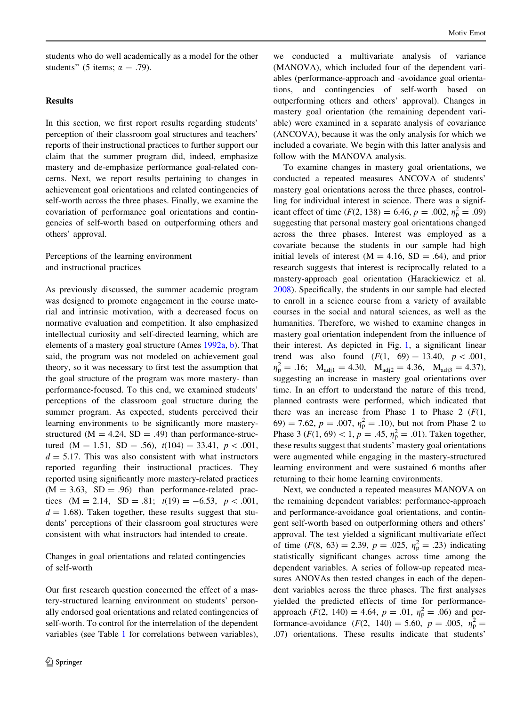students who do well academically as a model for the other students" (5 items;  $\alpha = .79$ ).

## **Results**

In this section, we first report results regarding students' perception of their classroom goal structures and teachers' reports of their instructional practices to further support our claim that the summer program did, indeed, emphasize mastery and de-emphasize performance goal-related concerns. Next, we report results pertaining to changes in achievement goal orientations and related contingencies of self-worth across the three phases. Finally, we examine the covariation of performance goal orientations and contingencies of self-worth based on outperforming others and others' approval.

Perceptions of the learning environment and instructional practices

As previously discussed, the summer academic program was designed to promote engagement in the course material and intrinsic motivation, with a decreased focus on normative evaluation and competition. It also emphasized intellectual curiosity and self-directed learning, which are elements of a mastery goal structure (Ames [1992a](#page-12-0), [b](#page-12-0)). That said, the program was not modeled on achievement goal theory, so it was necessary to first test the assumption that the goal structure of the program was more mastery- than performance-focused. To this end, we examined students' perceptions of the classroom goal structure during the summer program. As expected, students perceived their learning environments to be significantly more masterystructured  $(M = 4.24, SD = .49)$  than performance-structured  $(M = 1.51, SD = .56)$ ,  $t(104) = 33.41, p < .001$ ,  $d = 5.17$ . This was also consistent with what instructors reported regarding their instructional practices. They reported using significantly more mastery-related practices  $(M = 3.63, SD = .96)$  than performance-related practices  $(M = 2.14, SD = .81; t(19) = -6.53, p < .001,$  $d = 1.68$ ). Taken together, these results suggest that students' perceptions of their classroom goal structures were consistent with what instructors had intended to create.

Changes in goal orientations and related contingencies of self-worth

Our first research question concerned the effect of a mastery-structured learning environment on students' personally endorsed goal orientations and related contingencies of self-worth. To control for the interrelation of the dependent variables (see Table [1](#page-8-0) for correlations between variables),

we conducted a multivariate analysis of variance (MANOVA), which included four of the dependent variables (performance-approach and -avoidance goal orientations, and contingencies of self-worth based on outperforming others and others' approval). Changes in mastery goal orientation (the remaining dependent variable) were examined in a separate analysis of covariance (ANCOVA), because it was the only analysis for which we included a covariate. We begin with this latter analysis and follow with the MANOVA analysis.

To examine changes in mastery goal orientations, we conducted a repeated measures ANCOVA of students' mastery goal orientations across the three phases, controlling for individual interest in science. There was a significant effect of time  $(F(2, 138) = 6.46, p = .002, \eta_{\text{p}}^2 = .09)$ suggesting that personal mastery goal orientations changed across the three phases. Interest was employed as a covariate because the students in our sample had high initial levels of interest  $(M = 4.16, SD = .64)$ , and prior research suggests that interest is reciprocally related to a mastery-approach goal orientation (Harackiewicz et al. [2008](#page-13-0)). Specifically, the students in our sample had elected to enroll in a science course from a variety of available courses in the social and natural sciences, as well as the humanities. Therefore, we wished to examine changes in mastery goal orientation independent from the influence of their interest. As depicted in Fig. [1](#page-8-0), a significant linear trend was also found  $(F(1, 69) = 13.40, p < .001,$  $\eta_{\rm p}^2 = .16; \quad M_{\rm adj1} = 4.30, \quad M_{\rm adj2} = 4.36, \quad M_{\rm adj3} = 4.37$ suggesting an increase in mastery goal orientations over time. In an effort to understand the nature of this trend, planned contrasts were performed, which indicated that there was an increase from Phase 1 to Phase 2  $(F(1,$ 69) = 7.62,  $p = .007$ ,  $\eta_{\rm p}^2 = .10$ ), but not from Phase 2 to Phase 3 ( $F(1, 69)$  < 1,  $p = .45$ ,  $\eta_p^2 = .01$ ). Taken together, these results suggest that students' mastery goal orientations were augmented while engaging in the mastery-structured learning environment and were sustained 6 months after returning to their home learning environments.

Next, we conducted a repeated measures MANOVA on the remaining dependent variables: performance-approach and performance-avoidance goal orientations, and contingent self-worth based on outperforming others and others' approval. The test yielded a significant multivariate effect of time  $(F(8, 63) = 2.39, p = .025, \eta_{p}^{2} = .23)$  indicating statistically significant changes across time among the dependent variables. A series of follow-up repeated measures ANOVAs then tested changes in each of the dependent variables across the three phases. The first analyses yielded the predicted effects of time for performanceapproach  $(F(2, 140) = 4.64, p = .01, \eta_{p}^{2} = .06)$  and performance-avoidance  $(F(2, 140) = 5.60, p = .005, \eta_{p}^{2} =$ .07) orientations. These results indicate that students'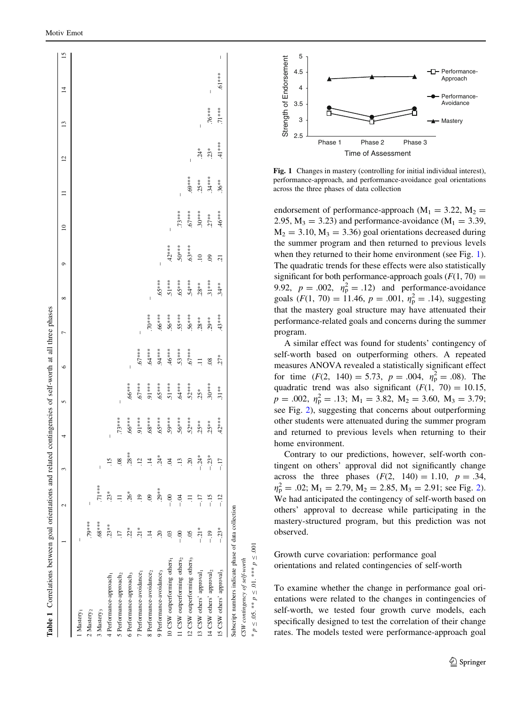<span id="page-8-0"></span>

| Table 1 Correlations between goal orientations and related contingencies of self-worth at all three phases |                          |                                       |                          |                          |                          |                |          |              |                |                          |          |                |                 |                |  |
|------------------------------------------------------------------------------------------------------------|--------------------------|---------------------------------------|--------------------------|--------------------------|--------------------------|----------------|----------|--------------|----------------|--------------------------|----------|----------------|-----------------|----------------|--|
|                                                                                                            |                          | 2                                     | 3                        |                          | 5                        | $\circ$        |          | ${}^{\circ}$ | Ò              | $\approx$                |          | $\overline{c}$ | $\overline{13}$ | $\overline{4}$ |  |
| 1 Mastery <sub>1</sub>                                                                                     | $\overline{\phantom{a}}$ |                                       |                          |                          |                          |                |          |              |                |                          |          |                |                 |                |  |
| $2$ Mastery <sub>2</sub>                                                                                   | ****67.                  | $\begin{array}{c} \hline \end{array}$ |                          |                          |                          |                |          |              |                |                          |          |                |                 |                |  |
| 3 Mastery <sub>3</sub>                                                                                     | 88                       | $.71***$                              | $\overline{\phantom{a}}$ |                          |                          |                |          |              |                |                          |          |                |                 |                |  |
| 4 Performance-approach1                                                                                    | $.23**$                  | $23*$                                 |                          | $\overline{\phantom{a}}$ |                          |                |          |              |                |                          |          |                |                 |                |  |
| 5 Performance-approach <sub>2</sub>                                                                        |                          |                                       | 08                       | $.73***$                 | $\overline{\phantom{a}}$ |                |          |              |                |                          |          |                |                 |                |  |
| 6 Performance-approach <sub>3</sub>                                                                        | $.22*$                   | $.26*$                                | $.28**$                  | $***89.$                 | $***86.$                 | $\overline{1}$ |          |              |                |                          |          |                |                 |                |  |
| 7 Performance-avoidance <sub>1</sub>                                                                       | $21*$                    | $\ddot{ }$                            |                          | $3.1***$                 | $.67***$                 | $.67***$       |          |              |                |                          |          |                |                 |                |  |
| 8 Performance-avoidance <sub>2</sub>                                                                       | $\vec{=}$                | 60                                    |                          | $.68***$                 | $3.44*16$ .              | $.64***$       | $.70***$ |              |                |                          |          |                |                 |                |  |
| 9 Performance-avoidance <sub>3</sub>                                                                       | $\overline{c}$           | $.29***$                              | $24*$                    | 5.56                     | $***8$ .                 | $34***$        | $66***$  | $55***$      |                |                          |          |                |                 |                |  |
| 10 CSW outperforming others1                                                                               | $\ddot{\mathrm{c}}$      | $-00 -$                               | $\ddot{\mathrm{d}}$      | .59***                   | $.51***$                 | $.46***$       | $.56***$ | $.51***$     | $.42***$       | $\overline{\phantom{a}}$ |          |                |                 |                |  |
| 11 CSW outperforming others <sub>2</sub>                                                                   | $-0.00$                  | $-0.4$                                |                          | $56***$                  | $64***$                  | $.53***$       | $.55***$ | $55***$      | $50***$        | $.73***$                 |          |                |                 |                |  |
| 12 CSW outperforming others <sub>3</sub>                                                                   | $\overline{6}$           |                                       | $\tilde{\varepsilon}$    | $.52***$                 | $.52***$                 | $.67***$       | $.56***$ | $.54***$     | $.63***$       | $.67***$                 | $69***$  |                |                 |                |  |
| 13 CSW others' approval                                                                                    | $-.21*$                  | Ī                                     | $-24*$                   | $.25**$                  | $.25*$                   | $\overline{a}$ | $.28**$  | $.28**$      | $\ddot{=}$     | $.30***$                 | $25**$   | $24*$          | Ī               |                |  |
| 14 CSW others' approval2                                                                                   | $-19$                    | $-15$                                 | $-23*$                   | $.25***$                 | $.30***$                 | $\overline{0}$ | $.29**$  | $.31***$     | $\overline{6}$ | $27**$                   | $.34***$ | $23*$          | $.76***$        | I              |  |
| 15 CSW others' approval <sub>3</sub>                                                                       | $-.23*$                  | $-12$                                 |                          | $42***$                  | $.31**$                  | $27*$          | $43***$  | $.34**$      | $\overline{c}$ | $.46***$                 | $.36**$  | $41***$        | $.71***$        | $5.61***$      |  |
| Subscript numbers indicate phase of data collection                                                        |                          |                                       |                          |                          |                          |                |          |              |                |                          |          |                |                 |                |  |
| CSW contingency of self-worth                                                                              |                          |                                       |                          |                          |                          |                |          |              |                |                          |          |                |                 |                |  |



Fig. 1 Changes in mastery (controlling for initial individual interest), performance-approach, and performance-avoidance goal orientations across the three phases of data collection

endorsement of performance-approach  $(M_1 = 3.22, M_2 =$ 2.95,  $M_3 = 3.23$ ) and performance-avoidance ( $M_1 = 3.39$ ,  $M_2 = 3.10$ ,  $M_3 = 3.36$ ) goal orientations decreased during the summer program and then returned to previous levels when they returned to their home environment (see Fig. 1). The quadratic trends for these effects were also statistically significant for both performance-approach goals  $(F(1, 70)) =$ 9.92,  $p = .002$ ,  $\eta_{\rm p}^2 = .12$ ) and performance-avoidance goals ( $F(1, 70) = 11.46$ ,  $p = .001$ ,  $\eta_p^2 = .14$ ), suggesting that the mastery goal structure may have attenuated their performance-related goals and concerns during the summer program.

A similar effect was found for students' contingency of self-worth based on outperforming others. A repeated measures ANOVA revealed a statistically significant effect for time  $(F(2, 140) = 5.73, p = .004, \eta_{p}^{2} = .08)$ . The quadratic trend was also significant  $(F(1, 70) = 10.15,$  $p = .002, \eta_{\rm p}^2 = .13; \ M_1 = 3.82, \ M_2 = 3.60, \ M_3 = 3.79;$ see Fig. [2](#page-9-0)), suggesting that concerns about outperforming other students were attenuated during the summer program and returned to previous levels when returning to their home environment.

Contrary to our predictions, however, self-worth contingent on others' approval did not significantly change across the three phases  $(F(2, 140) = 1.10, p = .34,$  $\eta_{\rm p}^2 = .02; \, {\rm M}_1 = 2.79, \, {\rm M}_2 = 2.85, \, {\rm M}_3 = 2.91; \, \text{see Fig. 2}.$  $\eta_{\rm p}^2 = .02; \, {\rm M}_1 = 2.79, \, {\rm M}_2 = 2.85, \, {\rm M}_3 = 2.91; \, \text{see Fig. 2}.$  $\eta_{\rm p}^2 = .02; \, {\rm M}_1 = 2.79, \, {\rm M}_2 = 2.85, \, {\rm M}_3 = 2.91; \, \text{see Fig. 2}.$ We had anticipated the contingency of self-worth based on others' approval to decrease while participating in the mastery-structured program, but this prediction was not observed.

Growth curve covariation: performance goal orientations and related contingencies of self-worth

 $\leq d$ 

.05

\*  $p \leq .05$ . \*\*  $p \leq .01$ . \*\*\*  $p \leq .001$ 

\*\*  $p \leq .01$ , \*\*\*  $p \leq$ 

 $\overline{0}$ 

To examine whether the change in performance goal orientations were related to the changes in contingencies of self-worth, we tested four growth curve models, each specifically designed to test the correlation of their change rates. The models tested were performance-approach goal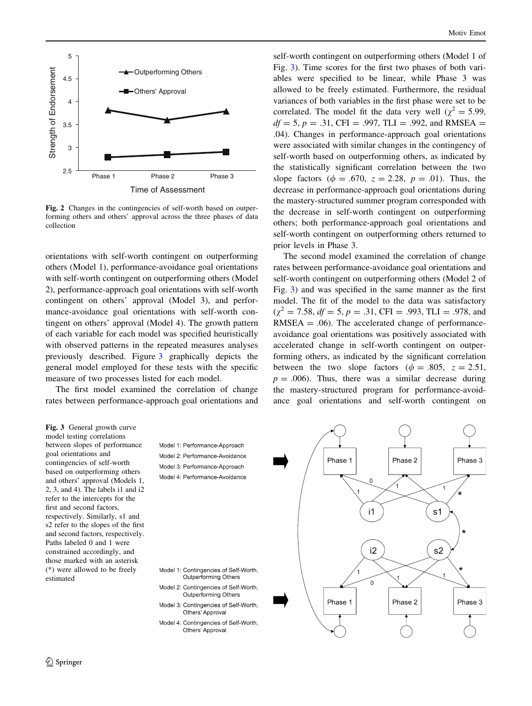<span id="page-9-0"></span>

Fig. 2 Changes in the contingencies of self-worth based on outperforming others and others' approval across the three phases of data collection

orientations with self-worth contingent on outperforming others (Model 1), performance-avoidance goal orientations with self-worth contingent on outperforming others (Model 2), performance-approach goal orientations with self-worth contingent on others' approval (Model 3), and performance-avoidance goal orientations with self-worth contingent on others' approval (Model 4). The growth pattern of each variable for each model was specified heuristically with observed patterns in the repeated measures analyses previously described. Figure 3 graphically depicts the general model employed for these tests with the specific measure of two processes listed for each model.

The first model examined the correlation of change rates between performance-approach goal orientations and self-worth contingent on outperforming others (Model 1 of Fig. 3). Time scores for the first two phases of both variables were specified to be linear, while Phase 3 was allowed to be freely estimated. Furthermore, the residual variances of both variables in the first phase were set to be correlated. The model fit the data very well ( $\chi^2 = 5.99$ ,  $df = 5$ ,  $p = .31$ , CFI = .997, TLI = .992, and RMSEA = .04). Changes in performance-approach goal orientations were associated with similar changes in the contingency of self-worth based on outperforming others, as indicated by the statistically significant correlation between the two slope factors ( $\phi = .670$ ,  $z = 2.28$ ,  $p = .01$ ). Thus, the decrease in performance-approach goal orientations during the mastery-structured summer program corresponded with the decrease in self-worth contingent on outperforming others; both performance-approach goal orientations and self-worth contingent on outperforming others returned to prior levels in Phase 3.

The second model examined the correlation of change rates between performance-avoidance goal orientations and self-worth contingent on outperforming others (Model 2 of Fig. 3) and was specified in the same manner as the first model. The fit of the model to the data was satisfactory  $(\chi^2 = 7.58, df = 5, p = .31, CFI = .993, TLI = .978, and$  $RMSEA = .06$ . The accelerated change of performanceavoidance goal orientations was positively associated with accelerated change in self-worth contingent on outperforming others, as indicated by the significant correlation between the two slope factors ( $\phi = .805$ ,  $z = 2.51$ ,  $p = .006$ . Thus, there was a similar decrease during the mastery-structured program for performance-avoidance goal orientations and self-worth contingent on

Fig. 3 General growth curve model testing correlations between slopes of performance goal orientations and contingencies of self-worth based on outperforming others and others' approval (Models 1, 2, 3, and 4). The labels i1 and i2 refer to the intercepts for the first and second factors, respectively. Similarly, s1 and s2 refer to the slopes of the first and second factors, respectively. Paths labeled 0 and 1 were constrained accordingly, and those marked with an asterisk (\*) were allowed to be freely estimated

Model 3: Performance-Approach Model 4: Performance-Avoidance Model 1: Contingencies of Self-Worth, Outperforming Others Model 2: Contingencies of Self-Worth, Outperforming Others Model 3: Contingencies of Self-Worth, Others' Approval

Model 1: Performance-Approach Model 2: Performance-Avoidance

Model 4: Contingencies of Self-Worth, Others' Approval

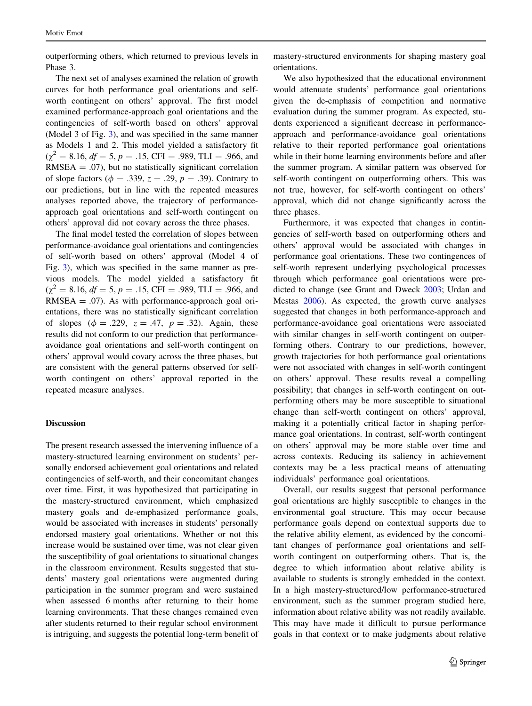outperforming others, which returned to previous levels in Phase 3.

The next set of analyses examined the relation of growth curves for both performance goal orientations and selfworth contingent on others' approval. The first model examined performance-approach goal orientations and the contingencies of self-worth based on others' approval (Model 3 of Fig. [3\)](#page-9-0), and was specified in the same manner as Models 1 and 2. This model yielded a satisfactory fit  $\gamma^2 = 8.16$ ,  $df = 5$ ,  $p = .15$ , CFI = .989, TLI = .966, and  $RMSEA = .07$ , but no statistically significant correlation of slope factors ( $\phi = .339$ ,  $z = .29$ ,  $p = .39$ ). Contrary to our predictions, but in line with the repeated measures analyses reported above, the trajectory of performanceapproach goal orientations and self-worth contingent on others' approval did not covary across the three phases.

The final model tested the correlation of slopes between performance-avoidance goal orientations and contingencies of self-worth based on others' approval (Model 4 of Fig. [3](#page-9-0)), which was specified in the same manner as previous models. The model yielded a satisfactory fit  $\left(\chi^2 = 8.16, df = 5, p = .15, CFI = .989, TLI = .966, and\right)$  $RMSEA = .07$ . As with performance-approach goal orientations, there was no statistically significant correlation of slopes  $(\phi = .229, z = .47, p = .32)$ . Again, these results did not conform to our prediction that performanceavoidance goal orientations and self-worth contingent on others' approval would covary across the three phases, but are consistent with the general patterns observed for selfworth contingent on others' approval reported in the repeated measure analyses.

## **Discussion**

The present research assessed the intervening influence of a mastery-structured learning environment on students' personally endorsed achievement goal orientations and related contingencies of self-worth, and their concomitant changes over time. First, it was hypothesized that participating in the mastery-structured environment, which emphasized mastery goals and de-emphasized performance goals, would be associated with increases in students' personally endorsed mastery goal orientations. Whether or not this increase would be sustained over time, was not clear given the susceptibility of goal orientations to situational changes in the classroom environment. Results suggested that students' mastery goal orientations were augmented during participation in the summer program and were sustained when assessed 6 months after returning to their home learning environments. That these changes remained even after students returned to their regular school environment is intriguing, and suggests the potential long-term benefit of mastery-structured environments for shaping mastery goal orientations.

We also hypothesized that the educational environment would attenuate students' performance goal orientations given the de-emphasis of competition and normative evaluation during the summer program. As expected, students experienced a significant decrease in performanceapproach and performance-avoidance goal orientations relative to their reported performance goal orientations while in their home learning environments before and after the summer program. A similar pattern was observed for self-worth contingent on outperforming others. This was not true, however, for self-worth contingent on others' approval, which did not change significantly across the three phases.

Furthermore, it was expected that changes in contingencies of self-worth based on outperforming others and others' approval would be associated with changes in performance goal orientations. These two contingences of self-worth represent underlying psychological processes through which performance goal orientations were predicted to change (see Grant and Dweck [2003;](#page-13-0) Urdan and Mestas [2006\)](#page-14-0). As expected, the growth curve analyses suggested that changes in both performance-approach and performance-avoidance goal orientations were associated with similar changes in self-worth contingent on outperforming others. Contrary to our predictions, however, growth trajectories for both performance goal orientations were not associated with changes in self-worth contingent on others' approval. These results reveal a compelling possibility; that changes in self-worth contingent on outperforming others may be more susceptible to situational change than self-worth contingent on others' approval, making it a potentially critical factor in shaping performance goal orientations. In contrast, self-worth contingent on others' approval may be more stable over time and across contexts. Reducing its saliency in achievement contexts may be a less practical means of attenuating individuals' performance goal orientations.

Overall, our results suggest that personal performance goal orientations are highly susceptible to changes in the environmental goal structure. This may occur because performance goals depend on contextual supports due to the relative ability element, as evidenced by the concomitant changes of performance goal orientations and selfworth contingent on outperforming others. That is, the degree to which information about relative ability is available to students is strongly embedded in the context. In a high mastery-structured/low performance-structured environment, such as the summer program studied here, information about relative ability was not readily available. This may have made it difficult to pursue performance goals in that context or to make judgments about relative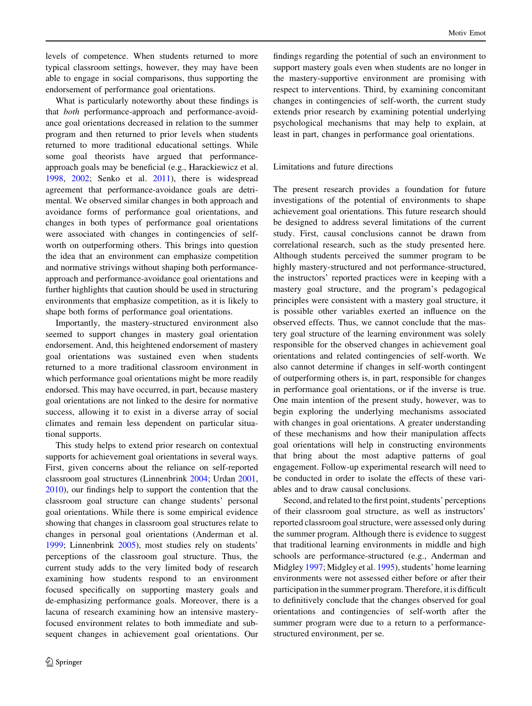levels of competence. When students returned to more typical classroom settings, however, they may have been able to engage in social comparisons, thus supporting the endorsement of performance goal orientations.

What is particularly noteworthy about these findings is that both performance-approach and performance-avoidance goal orientations decreased in relation to the summer program and then returned to prior levels when students returned to more traditional educational settings. While some goal theorists have argued that performanceapproach goals may be beneficial (e.g., Harackiewicz et al. [1998,](#page-13-0) [2002](#page-13-0); Senko et al. [2011](#page-14-0)), there is widespread agreement that performance-avoidance goals are detrimental. We observed similar changes in both approach and avoidance forms of performance goal orientations, and changes in both types of performance goal orientations were associated with changes in contingencies of selfworth on outperforming others. This brings into question the idea that an environment can emphasize competition and normative strivings without shaping both performanceapproach and performance-avoidance goal orientations and further highlights that caution should be used in structuring environments that emphasize competition, as it is likely to shape both forms of performance goal orientations.

Importantly, the mastery-structured environment also seemed to support changes in mastery goal orientation endorsement. And, this heightened endorsement of mastery goal orientations was sustained even when students returned to a more traditional classroom environment in which performance goal orientations might be more readily endorsed. This may have occurred, in part, because mastery goal orientations are not linked to the desire for normative success, allowing it to exist in a diverse array of social climates and remain less dependent on particular situational supports.

This study helps to extend prior research on contextual supports for achievement goal orientations in several ways. First, given concerns about the reliance on self-reported classroom goal structures (Linnenbrink [2004;](#page-13-0) Urdan [2001,](#page-14-0) [2010\)](#page-14-0), our findings help to support the contention that the classroom goal structure can change students' personal goal orientations. While there is some empirical evidence showing that changes in classroom goal structures relate to changes in personal goal orientations (Anderman et al. [1999;](#page-12-0) Linnenbrink [2005](#page-13-0)), most studies rely on students' perceptions of the classroom goal structure. Thus, the current study adds to the very limited body of research examining how students respond to an environment focused specifically on supporting mastery goals and de-emphasizing performance goals. Moreover, there is a lacuna of research examining how an intensive masteryfocused environment relates to both immediate and subsequent changes in achievement goal orientations. Our

findings regarding the potential of such an environment to support mastery goals even when students are no longer in the mastery-supportive environment are promising with respect to interventions. Third, by examining concomitant changes in contingencies of self-worth, the current study extends prior research by examining potential underlying psychological mechanisms that may help to explain, at least in part, changes in performance goal orientations.

## Limitations and future directions

The present research provides a foundation for future investigations of the potential of environments to shape achievement goal orientations. This future research should be designed to address several limitations of the current study. First, causal conclusions cannot be drawn from correlational research, such as the study presented here. Although students perceived the summer program to be highly mastery-structured and not performance-structured, the instructors' reported practices were in keeping with a mastery goal structure, and the program's pedagogical principles were consistent with a mastery goal structure, it is possible other variables exerted an influence on the observed effects. Thus, we cannot conclude that the mastery goal structure of the learning environment was solely responsible for the observed changes in achievement goal orientations and related contingencies of self-worth. We also cannot determine if changes in self-worth contingent of outperforming others is, in part, responsible for changes in performance goal orientations, or if the inverse is true. One main intention of the present study, however, was to begin exploring the underlying mechanisms associated with changes in goal orientations. A greater understanding of these mechanisms and how their manipulation affects goal orientations will help in constructing environments that bring about the most adaptive patterns of goal engagement. Follow-up experimental research will need to be conducted in order to isolate the effects of these variables and to draw causal conclusions.

Second, and related to the first point, students' perceptions of their classroom goal structure, as well as instructors' reported classroom goal structure, were assessed only during the summer program. Although there is evidence to suggest that traditional learning environments in middle and high schools are performance-structured (e.g., Anderman and Midgley [1997;](#page-12-0) Midgley et al. [1995](#page-13-0)), students' home learning environments were not assessed either before or after their participation in the summer program. Therefore, it is difficult to definitively conclude that the changes observed for goal orientations and contingencies of self-worth after the summer program were due to a return to a performancestructured environment, per se.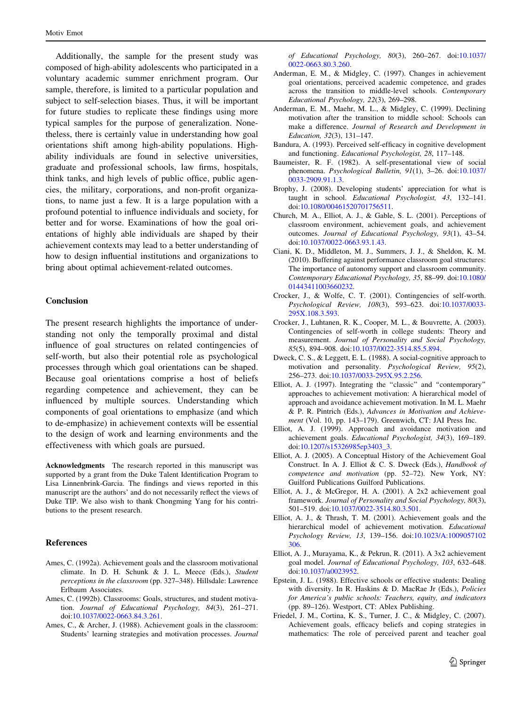<span id="page-12-0"></span>Additionally, the sample for the present study was composed of high-ability adolescents who participated in a voluntary academic summer enrichment program. Our sample, therefore, is limited to a particular population and subject to self-selection biases. Thus, it will be important for future studies to replicate these findings using more typical samples for the purpose of generalization. Nonetheless, there is certainly value in understanding how goal orientations shift among high-ability populations. Highability individuals are found in selective universities, graduate and professional schools, law firms, hospitals, think tanks, and high levels of public office, public agencies, the military, corporations, and non-profit organizations, to name just a few. It is a large population with a profound potential to influence individuals and society, for better and for worse. Examinations of how the goal orientations of highly able individuals are shaped by their achievement contexts may lead to a better understanding of how to design influential institutions and organizations to bring about optimal achievement-related outcomes.

## **Conclusion**

The present research highlights the importance of understanding not only the temporally proximal and distal influence of goal structures on related contingencies of self-worth, but also their potential role as psychological processes through which goal orientations can be shaped. Because goal orientations comprise a host of beliefs regarding competence and achievement, they can be influenced by multiple sources. Understanding which components of goal orientations to emphasize (and which to de-emphasize) in achievement contexts will be essential to the design of work and learning environments and the effectiveness with which goals are pursued.

Acknowledgments The research reported in this manuscript was supported by a grant from the Duke Talent Identification Program to Lisa Linnenbrink-Garcia. The findings and views reported in this manuscript are the authors' and do not necessarily reflect the views of Duke TIP. We also wish to thank Chongming Yang for his contributions to the present research.

#### **References**

- Ames, C. (1992a). Achievement goals and the classroom motivational climate. In D. H. Schunk & J. L. Meece (Eds.), Student perceptions in the classroom (pp. 327–348). Hillsdale: Lawrence Erlbaum Associates.
- Ames, C. (1992b). Classrooms: Goals, structures, and student motivation. Journal of Educational Psychology, 84(3), 261–271. doi[:10.1037/0022-0663.84.3.261.](http://dx.doi.org/10.1037/0022-0663.84.3.261)
- Ames, C., & Archer, J. (1988). Achievement goals in the classroom: Students' learning strategies and motivation processes. Journal

of Educational Psychology, 80(3), 260–267. doi[:10.1037/](http://dx.doi.org/10.1037/0022-0663.80.3.260) [0022-0663.80.3.260.](http://dx.doi.org/10.1037/0022-0663.80.3.260)

- Anderman, E. M., & Midgley, C. (1997). Changes in achievement goal orientations, perceived academic competence, and grades across the transition to middle-level schools. Contemporary Educational Psychology, 22(3), 269–298.
- Anderman, E. M., Maehr, M. L., & Midgley, C. (1999). Declining motivation after the transition to middle school: Schools can make a difference. Journal of Research and Development in Education, 32(3), 131–147.
- Bandura, A. (1993). Perceived self-efficacy in cognitive development and functioning. Educational Psychologist, 28, 117–148.
- Baumeister, R. F. (1982). A self-presentational view of social phenomena. Psychological Bulletin, 91(1), 3–26. doi[:10.1037/](http://dx.doi.org/10.1037/0033-2909.91.1.3) [0033-2909.91.1.3](http://dx.doi.org/10.1037/0033-2909.91.1.3).
- Brophy, J. (2008). Developing students' appreciation for what is taught in school. Educational Psychologist, 43, 132–141. doi[:10.1080/00461520701756511](http://dx.doi.org/10.1080/00461520701756511).
- Church, M. A., Elliot, A. J., & Gable, S. L. (2001). Perceptions of classroom environment, achievement goals, and achievement outcomes. Journal of Educational Psychology, 93(1), 43–54. doi[:10.1037/0022-0663.93.1.43.](http://dx.doi.org/10.1037/0022-0663.93.1.43)
- Ciani, K. D., Middleton, M. J., Summers, J. J., & Sheldon, K. M. (2010). Buffering against performance classroom goal structures: The importance of autonomy support and classroom community. Contemporary Educational Psychology, 35, 88–99. doi[:10.1080/](http://dx.doi.org/10.1080/01443411003660232) [01443411003660232](http://dx.doi.org/10.1080/01443411003660232).
- Crocker, J., & Wolfe, C. T. (2001). Contingencies of self-worth. Psychological Review, 108(3), 593–623. doi:[10.1037/0033-](http://dx.doi.org/10.1037/0033-295X.108.3.593) [295X.108.3.593.](http://dx.doi.org/10.1037/0033-295X.108.3.593)
- Crocker, J., Luhtanen, R. K., Cooper, M. L., & Bouvrette, A. (2003). Contingencies of self-worth in college students: Theory and measurement. Journal of Personality and Social Psychology, 85(5), 894–908. doi[:10.1037/0022-3514.85.5.894.](http://dx.doi.org/10.1037/0022-3514.85.5.894)
- Dweck, C. S., & Leggett, E. L. (1988). A social-cognitive approach to motivation and personality. Psychological Review, 95(2), 256–273. doi:[10.1037/0033-295X.95.2.256](http://dx.doi.org/10.1037/0033-295X.95.2.256).
- Elliot, A. J. (1997). Integrating the "classic" and "contemporary" approaches to achievement motivation: A hierarchical model of approach and avoidance achievement motivation. In M. L. Maehr & P. R. Pintrich (Eds.), Advances in Motivation and Achievement (Vol. 10, pp. 143–179). Greenwich, CT: JAI Press Inc.
- Elliot, A. J. (1999). Approach and avoidance motivation and achievement goals. Educational Psychologist, 34(3), 169–189. doi[:10.1207/s15326985ep3403\\_3.](http://dx.doi.org/10.1207/s15326985ep3403_3)
- Elliot, A. J. (2005). A Conceptual History of the Achievement Goal Construct. In A. J. Elliot & C. S. Dweck (Eds.), Handbook of competence and motivation (pp. 52–72). New York, NY: Guilford Publications Guilford Publications.
- Elliot, A. J., & McGregor, H. A. (2001). A 2x2 achievement goal framework. Journal of Personality and Social Psychology, 80(3), 501–519. doi:[10.1037/0022-3514.80.3.501](http://dx.doi.org/10.1037/0022-3514.80.3.501).
- Elliot, A. J., & Thrash, T. M. (2001). Achievement goals and the hierarchical model of achievement motivation. Educational Psychology Review, 13, 139–156. doi:[10.1023/A:1009057102](http://dx.doi.org/10.1023/A:1009057102306) [306.](http://dx.doi.org/10.1023/A:1009057102306)
- Elliot, A. J., Murayama, K., & Pekrun, R. (2011). A 3x2 achievement goal model. Journal of Educational Psychology, 103, 632–648. doi[:10.1037/a0023952.](http://dx.doi.org/10.1037/a0023952)
- Epstein, J. L. (1988). Effective schools or effective students: Dealing with diversity. In R. Haskins & D. MacRae Jr (Eds.), Policies for America's public schools: Teachers, equity, and indicators (pp. 89–126). Westport, CT: Ablex Publishing.
- Friedel, J. M., Cortina, K. S., Turner, J. C., & Midgley, C. (2007). Achievement goals, efficacy beliefs and coping strategies in mathematics: The role of perceived parent and teacher goal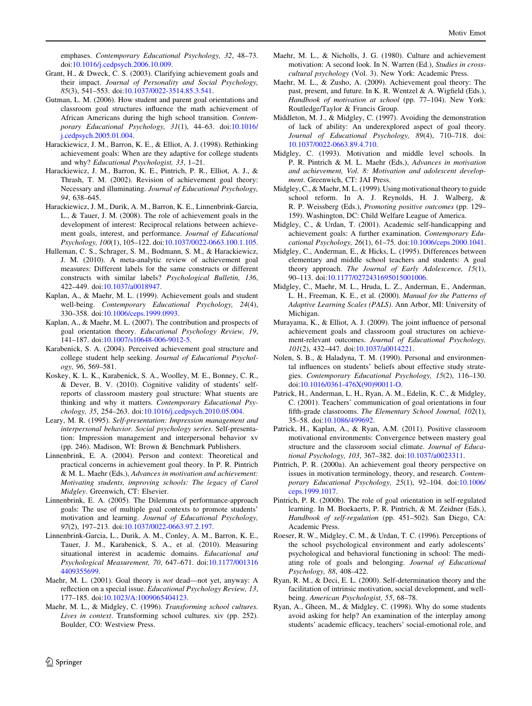<span id="page-13-0"></span>emphases. Contemporary Educational Psychology, 32, 48–73. doi[:10.1016/j.cedpsych.2006.10.009.](http://dx.doi.org/10.1016/j.cedpsych.2006.10.009)

- Grant, H., & Dweck, C. S. (2003). Clarifying achievement goals and their impact. Journal of Personality and Social Psychology, 85(3), 541–553. doi[:10.1037/0022-3514.85.3.541.](http://dx.doi.org/10.1037/0022-3514.85.3.541)
- Gutman, L. M. (2006). How student and parent goal orientations and classroom goal structures influence the math achievement of African Americans during the high school transition. Contemporary Educational Psychology, 31(1), 44–63. doi[:10.1016/](http://dx.doi.org/10.1016/j.cedpsych.2005.01.004) [j.cedpsych.2005.01.004.](http://dx.doi.org/10.1016/j.cedpsych.2005.01.004)
- Harackiewicz, J. M., Barron, K. E., & Elliot, A. J. (1998). Rethinking achievement goals: When are they adaptive for college students and why? Educational Psychologist, 33, 1–21.
- Harackiewicz, J. M., Barron, K. E., Pintrich, P. R., Elliot, A. J., & Thrash, T. M. (2002). Revision of achievement goal theory: Necessary and illuminating. Journal of Educational Psychology, 94, 638–645.
- Harackiewicz, J. M., Durik, A. M., Barron, K. E., Linnenbrink-Garcia, L., & Tauer, J. M. (2008). The role of achievement goals in the development of interest: Reciprocal relations between achievement goals, interest, and performance. Journal of Educational Psychology, 100(1), 105–122. doi[:10.1037/0022-0663.100.1.105](http://dx.doi.org/10.1037/0022-0663.100.1.105).
- Hulleman, C. S., Schrager, S. M., Bodmann, S. M., & Harackiewicz, J. M. (2010). A meta-analytic review of achievement goal measures: Different labels for the same constructs or different constructs with similar labels? Psychological Bulletin, 136, 422–449. doi:[10.1037/a0018947](http://dx.doi.org/10.1037/a0018947).
- Kaplan, A., & Maehr, M. L. (1999). Achievement goals and student well-being. Contemporary Educational Psychology, 24(4), 330–358. doi:[10.1006/ceps.1999.0993.](http://dx.doi.org/10.1006/ceps.1999.0993)
- Kaplan, A., & Maehr, M. L. (2007). The contribution and prospects of goal orientation theory. Educational Psychology Review, 19, 141–187. doi:[10.1007/s10648-006-9012-5.](http://dx.doi.org/10.1007/s10648-006-9012-5)
- Karabenick, S. A. (2004). Perceived achievement goal structure and college student help seeking. Journal of Educational Psychology, 96, 569–581.
- Koskey, K. L. K., Karabenick, S. A., Woolley, M. E., Bonney, C. R., & Dever, B. V. (2010). Cognitive validity of students' selfreports of classroom mastery goal structure: What stuents are thinking and why it matters. Contemporary Educational Psychology, 35, 254–263. doi[:10.1016/j.cedpsych.2010.05.004.](http://dx.doi.org/10.1016/j.cedpsych.2010.05.004)
- Leary, M. R. (1995). Self-presentation: Impression management and interpersonal behavior. Social psychology series. Self-presentation: Impression management and interpersonal behavior xv (pp. 246). Madison, WI: Brown & Benchmark Publishers.
- Linnenbrink, E. A. (2004). Person and context: Theoretical and practical concerns in achievement goal theory. In P. R. Pintrich & M. L. Maehr (Eds.), Advances in motivation and achievement: Motivating students, improving schools: The legacy of Carol Midgley. Greenwich, CT: Elsevier.
- Linnenbrink, E. A. (2005). The Dilemma of performance-approach goals: The use of multiple goal contexts to promote students' motivation and learning. Journal of Educational Psychology, 97(2), 197–213. doi[:10.1037/0022-0663.97.2.197.](http://dx.doi.org/10.1037/0022-0663.97.2.197)
- Linnenbrink-Garcia, L., Durik, A. M., Conley, A. M., Barron, K. E., Tauer, J. M., Karabenick, S. A., et al. (2010). Measuring situational interest in academic domains. Educational and Psychological Measurement, 70, 647–671. doi:[10.1177/001316](http://dx.doi.org/10.1177/0013164409355699) [4409355699](http://dx.doi.org/10.1177/0013164409355699).
- Maehr, M. L. (2001). Goal theory is not dead—not yet, anyway: A reflection on a special issue. Educational Psychology Review, 13, 177–185. doi:[10.1023/A:1009065404123](http://dx.doi.org/10.1023/A:1009065404123).
- Maehr, M. L., & Midgley, C. (1996). Transforming school cultures. Lives in context. Transforming school cultures. xiv (pp. 252). Boulder, CO: Westview Press.
- Maehr, M. L., & Nicholls, J. G. (1980). Culture and achievement motivation: A second look. In N. Warren (Ed.), Studies in crosscultural psychology (Vol. 3). New York: Academic Press.
- Maehr, M. L., & Zusho, A. (2009). Achievement goal theory: The past, present, and future. In K. R. Wentzel & A. Wigfield (Eds.), Handbook of motivation at school (pp. 77–104). New York: Routledge/Taylor & Francis Group.
- Middleton, M. J., & Midgley, C. (1997). Avoiding the demonstration of lack of ability: An underexplored aspect of goal theory. Journal of Educational Psychology, 89(4), 710–718. doi: [10.1037/0022-0663.89.4.710.](http://dx.doi.org/10.1037/0022-0663.89.4.710)
- Midgley, C. (1993). Motivation and middle level schools. In P. R. Pintrich & M. L. Maehr (Eds.), Advances in motivation and achievement, Vol. 8: Motivation and adolescent development. Greenwich, CT: JAI Press.
- Midgley, C., & Maehr, M. L. (1999). Using motivational theory to guide school reform. In A. J. Reynolds, H. J. Walberg, & R. P. Weissberg (Eds.), Promoting positive outcomes (pp. 129– 159). Washington, DC: Child Welfare League of America.
- Midgley, C., & Urdan, T. (2001). Academic self-handicapping and achievement goals: A further examination. Contemporary Educational Psychology, 26(1), 61–75. doi[:10.1006/ceps.2000.1041](http://dx.doi.org/10.1006/ceps.2000.1041).
- Midgley, C., Anderman, E., & Hicks, L. (1995). Differences between elementary and middle school teachers and students: A goal theory approach. The Journal of Early Adolescence, 15(1), 90–113. doi:[10.1177/0272431695015001006](http://dx.doi.org/10.1177/0272431695015001006).
- Midgley, C., Maehr, M. L., Hruda, L. Z., Anderman, E., Anderman, L. H., Freeman, K. E., et al. (2000). Manual for the Patterns of Adaptive Learning Scales (PALS). Ann Arbor, MI: University of Michigan.
- Murayama, K., & Elliot, A. J. (2009). The joint influence of personal achievement goals and classroom goal structures on achievement-relevant outcomes. Journal of Educational Psychology, 101(2), 432–447. doi[:10.1037/a0014221.](http://dx.doi.org/10.1037/a0014221)
- Nolen, S. B., & Haladyna, T. M. (1990). Personal and environmental influences on students' beliefs about effective study strategies. Contemporary Educational Psychology, 15(2), 116–130. doi[:10.1016/0361-476X\(90\)90011-O](http://dx.doi.org/10.1016/0361-476X(90)90011-O).
- Patrick, H., Anderman, L. H., Ryan, A. M., Edelin, K. C., & Midgley, C. (2001). Teachers' communication of goal orientations in four fifth-grade classrooms. The Elementary School Journal, 102(1), 35–58. doi[:10.1086/499692.](http://dx.doi.org/10.1086/499692)
- Patrick, H., Kaplan, A., & Ryan, A.M. (2011). Positive classroom motivational environments: Convergence between mastery goal structure and the classroom social climate. Journal of Educational Psychology, 103, 367–382. doi[:10.1037/a0023311.](http://dx.doi.org/10.1037/a0023311)
- Pintrich, P. R. (2000a). An achievement goal theory perspective on issues in motivation terminology, theory, and research. Contemporary Educational Psychology, 25(1), 92–104. doi[:10.1006/](http://dx.doi.org/10.1006/ceps.1999.1017) [ceps.1999.1017](http://dx.doi.org/10.1006/ceps.1999.1017).
- Pintrich, P. R. (2000b). The role of goal orientation in self-regulated learning. In M. Boekaerts, P. R. Pintrich, & M. Zeidner (Eds.), Handbook of self-regulation (pp. 451–502). San Diego, CA: Academic Press.
- Roeser, R. W., Midgley, C. M., & Urdan, T. C. (1996). Perceptions of the school psychological environment and early adolescents' psychological and behavioral functioning in school: The mediating role of goals and belonging. Journal of Educational Psychology, 88, 408–422.
- Ryan, R. M., & Deci, E. L. (2000). Self-determination theory and the facilitation of intrinsic motivation, social development, and wellbeing. American Psychologist, 55, 68–78.
- Ryan, A., Gheen, M., & Midgley, C. (1998). Why do some students avoid asking for help? An examination of the interplay among students' academic efficacy, teachers' social-emotional role, and